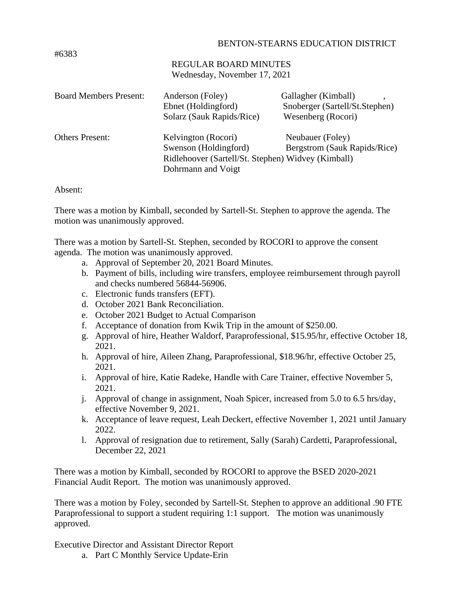## BENTON-STEARNS EDUCATION DISTRICT

## REGULAR BOARD MINUTES Wednesday, November 17, 2021

| <b>Board Members Present:</b> | Anderson (Foley)<br>Ebnet (Holdingford)<br>Solarz (Sauk Rapids/Rice)                                                     | Gallagher (Kimball)<br>Snoberger (Sartell/St.Stephen)<br>Wesenberg (Rocori) |
|-------------------------------|--------------------------------------------------------------------------------------------------------------------------|-----------------------------------------------------------------------------|
| <b>Others Present:</b>        | Kelvington (Rocori)<br>Swenson (Holdingford)<br>Ridlehoover (Sartell/St. Stephen) Widvey (Kimball)<br>Dohrmann and Voigt | Neubauer (Foley)<br>Bergstrom (Sauk Rapids/Rice)                            |

## Absent:

There was a motion by Kimball, seconded by Sartell-St. Stephen to approve the agenda. The motion was unanimously approved.

There was a motion by Sartell-St. Stephen, seconded by ROCORI to approve the consent agenda. The motion was unanimously approved.

- a. Approval of September 20, 2021 Board Minutes.
- b. Payment of bills, including wire transfers, employee reimbursement through payroll and checks numbered 56844-56906.
- c. Electronic funds transfers (EFT).
- d. October 2021 Bank Reconciliation.
- e. October 2021 Budget to Actual Comparison
- f. Acceptance of donation from Kwik Trip in the amount of \$250.00.
- g. Approval of hire, Heather Waldorf, Paraprofessional, \$15.95/hr, effective October 18, 2021.
- h. Approval of hire, Aileen Zhang, Paraprofessional, \$18.96/hr, effective October 25, 2021.
- i. Approval of hire, Katie Radeke, Handle with Care Trainer, effective November 5, 2021.
- j. Approval of change in assignment, Noah Spicer, increased from 5.0 to 6.5 hrs/day, effective November 9, 2021.
- k. Acceptance of leave request, Leah Deckert, effective November 1, 2021 until January 2022.
- l. Approval of resignation due to retirement, Sally (Sarah) Cardetti, Paraprofessional, December 22, 2021

There was a motion by Kimball, seconded by ROCORI to approve the BSED 2020-2021 Financial Audit Report. The motion was unanimously approved.

There was a motion by Foley, seconded by Sartell-St. Stephen to approve an additional .90 FTE Paraprofessional to support a student requiring 1:1 support. The motion was unanimously approved.

Executive Director and Assistant Director Report

a. Part C Monthly Service Update-Erin